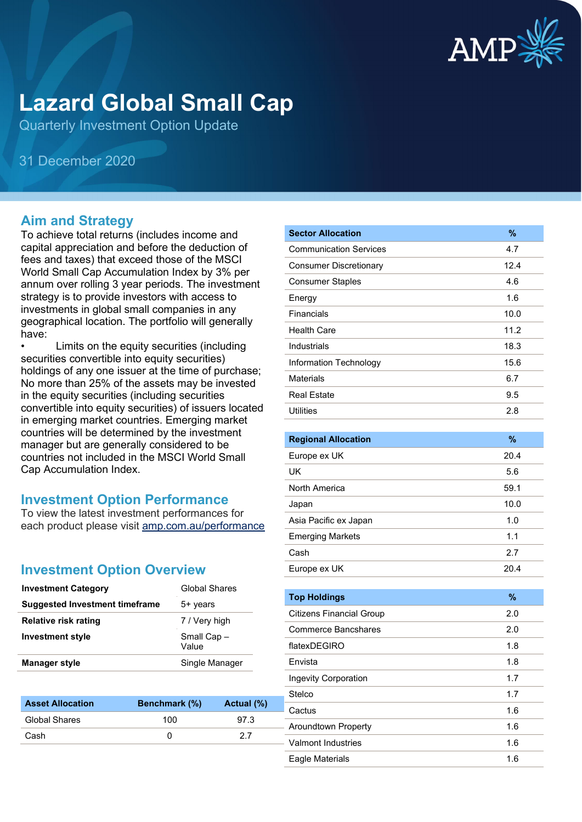

# **Lazard Global Small Cap**

Quarterly Investment Option Update

31 December 2020

#### **Aim and Strategy**

To achieve total returns (includes income and capital appreciation and before the deduction of fees and taxes) that exceed those of the MSCI World Small Cap Accumulation Index by 3% per annum over rolling 3 year periods. The investment strategy is to provide investors with access to investments in global small companies in any geographical location. The portfolio will generally have:

Limits on the equity securities (including securities convertible into equity securities) holdings of any one issuer at the time of purchase; No more than 25% of the assets may be invested in the equity securities (including securities convertible into equity securities) of issuers located in emerging market countries. Emerging market countries will be determined by the investment manager but are generally considered to be countries not included in the MSCI World Small Cap Accumulation Index.

#### **Investment Option Performance**

To view the latest investment performances for each product please visit [amp.com.au/performance](https://www.amp.com.au/performance)

## **Investment Option Overview**

| <b>Investment Category</b>            | <b>Global Shares</b> |
|---------------------------------------|----------------------|
| <b>Suggested Investment timeframe</b> | 5+ years             |
| <b>Relative risk rating</b>           | 7 / Very high        |
| <b>Investment style</b>               | Small Cap-<br>Value  |
| <b>Manager style</b>                  | Single Manager       |

| <b>Benchmark</b> (%) | Actual (%) |
|----------------------|------------|
| 100                  | 97.3       |
|                      | 27         |
|                      |            |

| <b>Sector Allocation</b>        | %    |
|---------------------------------|------|
| <b>Communication Services</b>   | 4.7  |
| <b>Consumer Discretionary</b>   | 12.4 |
| <b>Consumer Staples</b>         | 4.6  |
| Energy                          | 1.6  |
| Financials                      | 10.0 |
| <b>Health Care</b>              | 11.2 |
| Industrials                     | 18.3 |
| Information Technology          | 15.6 |
| <b>Materials</b>                | 6.7  |
| <b>Real Estate</b>              | 9.5  |
| <b>Utilities</b>                | 2.8  |
|                                 |      |
| <b>Regional Allocation</b>      | %    |
| Europe ex UK                    | 20.4 |
| UK                              | 5.6  |
| North America                   | 59.1 |
| Japan                           | 10.0 |
| Asia Pacific ex Japan           | 1.0  |
| <b>Emerging Markets</b>         | 1.1  |
| Cash                            | 2.7  |
| Europe ex UK                    | 20.4 |
|                                 |      |
| <b>Top Holdings</b>             | $\%$ |
| <b>Citizens Financial Group</b> | 2.0  |
| <b>Commerce Bancshares</b>      | 2.0  |
| flatexDEGIRO                    | 1.8  |
| Envista                         | 1.8  |
| Ingevity Corporation            | 1.7  |
| Stelco                          | 1.7  |
| Cactus                          | 1.6  |
| Aroundtown Property             | 1.6  |
| Valmont Industries              | 1.6  |

Eagle Materials 1.6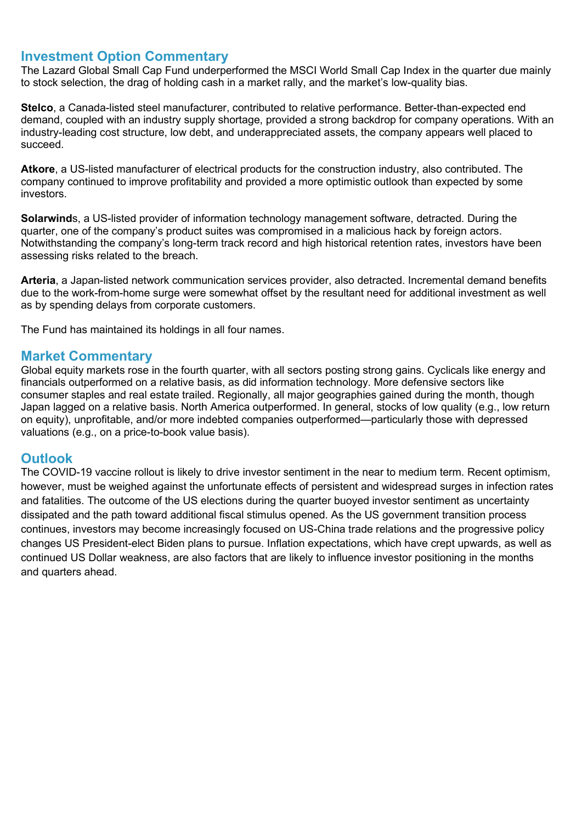#### **Investment Option Commentary**

The Lazard Global Small Cap Fund underperformed the MSCI World Small Cap Index in the quarter due mainly to stock selection, the drag of holding cash in a market rally, and the market's low-quality bias.

**Stelco**, a Canada-listed steel manufacturer, contributed to relative performance. Better-than-expected end demand, coupled with an industry supply shortage, provided a strong backdrop for company operations. With an industry-leading cost structure, low debt, and underappreciated assets, the company appears well placed to succeed.

**Atkore**, a US-listed manufacturer of electrical products for the construction industry, also contributed. The company continued to improve profitability and provided a more optimistic outlook than expected by some investors.

**Solarwind**s, a US-listed provider of information technology management software, detracted. During the quarter, one of the company's product suites was compromised in a malicious hack by foreign actors. Notwithstanding the company's long-term track record and high historical retention rates, investors have been assessing risks related to the breach.

**Arteria**, a Japan-listed network communication services provider, also detracted. Incremental demand benefits due to the work-from-home surge were somewhat offset by the resultant need for additional investment as well as by spending delays from corporate customers.

The Fund has maintained its holdings in all four names.

#### **Market Commentary**

Global equity markets rose in the fourth quarter, with all sectors posting strong gains. Cyclicals like energy and financials outperformed on a relative basis, as did information technology. More defensive sectors like consumer staples and real estate trailed. Regionally, all major geographies gained during the month, though Japan lagged on a relative basis. North America outperformed. In general, stocks of low quality (e.g., low return on equity), unprofitable, and/or more indebted companies outperformed—particularly those with depressed valuations (e.g., on a price-to-book value basis).

#### **Outlook**

The COVID-19 vaccine rollout is likely to drive investor sentiment in the near to medium term. Recent optimism, however, must be weighed against the unfortunate effects of persistent and widespread surges in infection rates and fatalities. The outcome of the US elections during the quarter buoyed investor sentiment as uncertainty dissipated and the path toward additional fiscal stimulus opened. As the US government transition process continues, investors may become increasingly focused on US-China trade relations and the progressive policy changes US President-elect Biden plans to pursue. Inflation expectations, which have crept upwards, as well as continued US Dollar weakness, are also factors that are likely to influence investor positioning in the months and quarters ahead.